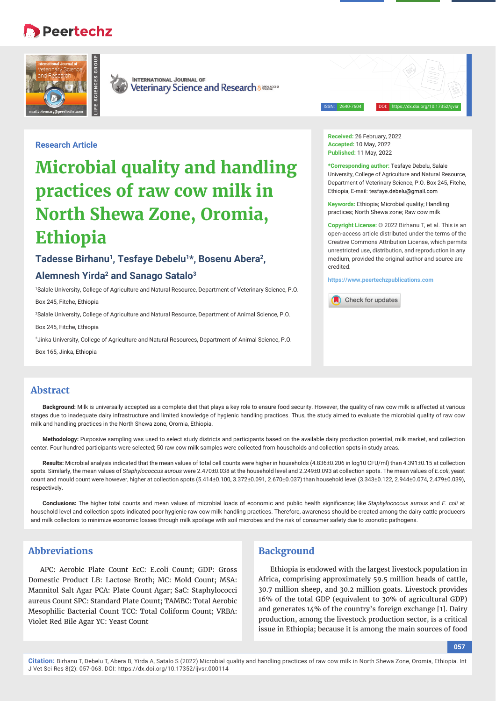# Peertechz





**INTERNATIONAL JOURNAL OF Veterinary Science and Research assurances** 

ISSN: 2640-7604 DOI: https://dx.doi.org/10.17352/ijvsr

# **Research Article**

# **Microbial quality and handling practices of raw cow milk in North Shewa Zone, Oromia, Ethiopia**

# Tadesse Birhanu<sup>1</sup>, Tesfaye Debelu<sup>1\*</sup>, Bosenu Abera<sup>2</sup>, **Alemnesh Yirda2 and Sanago Satalo3**

1 Salale University, College of Agriculture and Natural Resource, Department of Veterinary Science, P.O. Box 245, Fitche, Ethiopia

2 Salale University, College of Agriculture and Natural Resource, Department of Animal Science, P.O.

Box 245, Fitche, Ethiopia

3 Jinka University, College of Agriculture and Natural Resources, Department of Animal Science, P.O.

Box 165, Jinka, Ethiopia

**Received:** 26 February, 2022 **Accepted:** 10 May, 2022 **Published:** 11 May, 2022

**\*Corresponding author:** Tesfaye Debelu, Salale University, College of Agriculture and Natural Resource, Department of Veterinary Science, P.O. Box 245, Fitche, Ethiopia, E-mail: tesfaye.debelu@gmail.com

**Keywords:** Ethiopia; Microbial quality; Handling practices; North Shewa zone; Raw cow milk

**Copyright License:** © 2022 Birhanu T, et al. This is an open-access article distributed under the terms of the Creative Commons Attribution License, which permits unrestricted use, distribution, and reproduction in any medium, provided the original author and source are credited.

**https://www.peertechzpublications.com**



# **Abstract**

**Background:** Milk is universally accepted as a complete diet that plays a key role to ensure food security. However, the quality of raw cow milk is affected at various stages due to inadequate dairy infrastructure and limited knowledge of hygienic handling practices. Thus, the study aimed to evaluate the microbial quality of raw cow milk and handling practices in the North Shewa zone, Oromia, Ethiopia.

**Methodology:** Purposive sampling was used to select study districts and participants based on the available dairy production potential, milk market, and collection center. Four hundred participants were selected; 50 raw cow milk samples were collected from households and collection spots in study areas.

**Results:** Microbial analysis indicated that the mean values of total cell counts were higher in households (4.836±0.206 in log10 CFU/ml) than 4.391±0.15 at collection spots. Similarly, the mean values of *Staphylococcus aurous* were 2.470±0.038 at the household level and 2.249±0.093 at collection spots. The mean values of *E.coli*, yeast count and mould count were however, higher at collection spots (5.414±0.100, 3.372±0.091, 2.670±0.037) than household level (3.343±0.122, 2.944±0.074, 2.479±0.039), respectively.

Conclusions: The higher total counts and mean values of microbial loads of economic and public health significance; like *Staphylococcus aurous* and *E. coli* at household level and collection spots indicated poor hygienic raw cow milk handling practices. Therefore, awareness should be created among the dairy cattle producers and milk collectors to minimize economic losses through milk spoilage with soil microbes and the risk of consumer safety due to zoonotic pathogens.

# **Abbreviations**

APC: Aerobic Plate Count EcC: E.coli Count; GDP: Gross Domestic Product LB: Lactose Broth; MC: Mold Count; MSA: Mannitol Salt Agar PCA: Plate Count Agar; SaC: Staphylococci aureus Count SPC: Standard Plate Count; TAMBC: Total Aerobic Mesophilic Bacterial Count TCC: Total Coliform Count; VRBA: Violet Red Bile Agar YC: Yeast Count

# **Background**

Ethiopia is endowed with the largest livestock population in Africa, comprising approximately 59.5 million heads of cattle, 30.7 million sheep, and 30.2 million goats. Livestock provides 16% of the total GDP (equivalent to 30% of agricultural GDP) and generates 14% of the country's foreign exchange [1]. Dairy production, among the livestock production sector, is a critical issue in Ethiopia; because it is among the main sources of food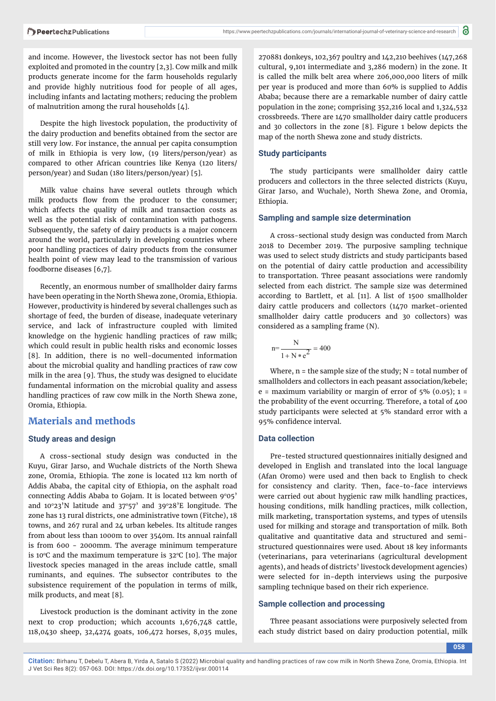and income. However, the livestock sector has not been fully exploited and promoted in the country [2,3]. Cow milk and milk products generate income for the farm households regularly and provide highly nutritious food for people of all ages, including infants and lactating mothers; reducing the problem of malnutrition among the rural households [4].

Despite the high livestock population, the productivity of the dairy production and benefits obtained from the sector are still very low. For instance, the annual per capita consumption of milk in Ethiopia is very low, (19 liters/person/year) as compared to other African countries like Kenya (120 liters/ person/year) and Sudan (180 liters/person/year) [5].

Milk value chains have several outlets through which milk products flow from the producer to the consumer; which affects the quality of milk and transaction costs as well as the potential risk of contamination with pathogens. Subsequently, the safety of dairy products is a major concern around the world, particularly in developing countries where poor handling practices of dairy products from the consumer health point of view may lead to the transmission of various foodborne diseases [6,7].

Recently, an enormous number of smallholder dairy farms have been operating in the North Shewa zone, Oromia, Ethiopia. However, productivity is hindered by several challenges such as shortage of feed, the burden of disease, inadequate veterinary service, and lack of infrastructure coupled with limited knowledge on the hygienic handling practices of raw milk; which could result in public health risks and economic losses [8]. In addition, there is no well-documented information about the microbial quality and handling practices of raw cow milk in the area [9]. Thus, the study was designed to elucidate fundamental information on the microbial quality and assess handling practices of raw cow milk in the North Shewa zone, Oromia, Ethiopia.

# **Materials and methods**

#### **Study areas and design**

A cross-sectional study design was conducted in the Kuyu, Girar Jarso, and Wuchale districts of the North Shewa zone, Oromia, Ethiopia. The zone is located 112 km north of Addis Ababa, the capital city of Ethiopia, on the asphalt road connecting Addis Ababa to Gojam. It is located between 9°05' and  $10°23'N$  latitude and  $37°57'$  and  $39°28'E$  longitude. The zone has 13 rural districts, one administrative town (Fitche), 18 towns, and 267 rural and 24 urban kebeles. Its altitude ranges from about less than 1000m to over 3540m. Its annual rainfall is from 600 - 2000mm. The average minimum temperature is 10 $\degree$ C and the maximum temperature is 32 $\degree$ C [10]. The major livestock species managed in the areas include cattle, small ruminants, and equines. The subsector contributes to the subsistence requirement of the population in terms of milk, milk products, and meat [8].

Livestock production is the dominant activity in the zone next to crop production; which accounts 1,676,748 cattle, 118,0430 sheep, 32,4274 goats, 106,472 horses, 8,035 mules,

270881 donkeys, 102,367 poultry and 142,210 beehives (147,268 cultural, 9,101 intermediate and 3,286 modern) in the zone. It is called the milk belt area where 206,000,000 liters of milk per year is produced and more than 60% is supplied to Addis Ababa; because there are a remarkable number of dairy cattle population in the zone; comprising 352,216 local and 1,324,532 crossbreeds. There are 1470 smallholder dairy cattle producers and 30 collectors in the zone [8]. Figure 1 below depicts the map of the north Shewa zone and study districts.

#### **Study participants**

The study participants were smallholder dairy cattle producers and collectors in the three selected districts (Kuyu, Girar Jarso, and Wuchale), North Shewa Zone, and Oromia, Ethiopia.

#### **Sampling and sample size determination**

A cross-sectional study design was conducted from March 2018 to December 2019. The purposive sampling technique was used to select study districts and study participants based on the potential of dairy cattle production and accessibility to transportation. Three peasant associations were randomly selected from each district. The sample size was determined according to Bartlett, et al*.* [11]. A list of 1500 smallholder dairy cattle producers and collectors (1470 market-oriented smallholder dairy cattle producers and 30 collectors) was considered as a sampling frame (N).

$$
n = \frac{N}{1 + N * e^2} = 400
$$

Where,  $n =$  the sample size of the study;  $N =$  total number of smallholders and collectors in each peasant association/kebele; e = maximum variability or margin of error of  $5\%$  (0.05); 1 = the probability of the event occurring. Therefore, a total of 400 study participants were selected at 5% standard error with a 95% confidence interval.

#### **Data collection**

Pre-tested structured questionnaires initially designed and developed in English and translated into the local language (Afan Oromo) were used and then back to English to check for consistency and clarity. Then, face-to-face interviews were carried out about hygienic raw milk handling practices, housing conditions, milk handling practices, milk collection, milk marketing, transportation systems, and types of utensils used for milking and storage and transportation of milk. Both qualitative and quantitative data and structured and semistructured questionnaires were used. About 18 key informants (veterinarians, para veterinarians (agricultural development agents), and heads of districts' livestock development agencies) were selected for in-depth interviews using the purposive sampling technique based on their rich experience.

#### **Sample collection and processing**

Three peasant associations were purposively selected from each study district based on dairy production potential, milk

**058**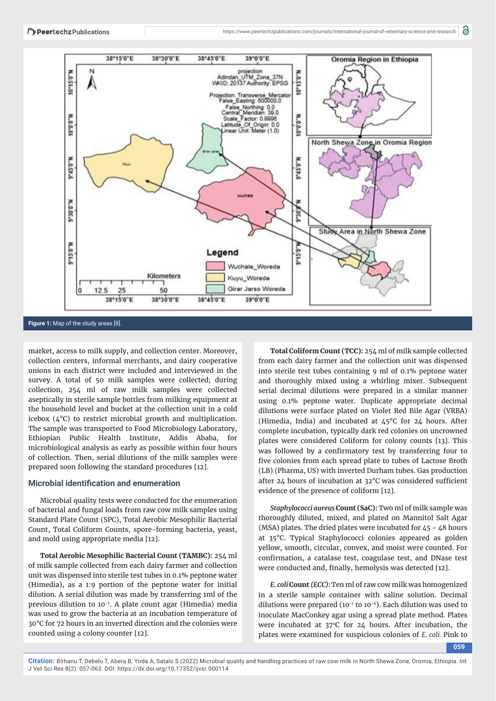

#### **Figure 1:** Map of the study areas [8].

market, access to milk supply, and collection center. Moreover, collection centers, informal merchants, and dairy cooperative unions in each district were included and interviewed in the survey. A total of 50 milk samples were collected; during collection, 254 ml of raw milk samples were collected aseptically in sterile sample bottles from milking equipment at the household level and bucket at the collection unit in a cold icebox (4°C) to restrict microbial growth and multiplication. The sample was transported to Food Microbiology Laboratory, Ethiopian Public Health Institute, Addis Ababa, for microbiological analysis as early as possible within four hours of collection. Then, serial dilutions of the milk samples were prepared soon following the standard procedures [12].

#### **Microbial identification and enumeration**

Microbial quality tests were conducted for the enumeration of bacterial and fungal loads from raw cow milk samples using Standard Plate Count (SPC), Total Aerobic Mesophilic Bacterial Count, Total Coliform Counts, spore-forming bacteria, yeast, and mold using appropriate media [12].

**Total Aerobic Mesophilic Bacterial Count (TAMBC):** 254 ml of milk sample collected from each dairy farmer and collection unit was dispensed into sterile test tubes in 0.1% peptone water (Himedia), as a 1:9 portion of the peptone water for initial dilution. A serial dilution was made by transferring 1ml of the previous dilution to 10-7. A plate count agar (Himedia) media was used to grow the bacteria at an incubation temperature of 30°C for 72 hours in an inverted direction and the colonies were counted using a colony counter [12].

**Total Coliform Count (TCC):** 254 ml of milk sample collected from each dairy farmer and the collection unit was dispensed into sterile test tubes containing 9 ml of 0.1% peptone water and thoroughly mixed using a whirling mixer. Subsequent serial decimal dilutions were prepared in a similar manner using 0.1% peptone water. Duplicate appropriate decimal dilutions were surface plated on Violet Red Bile Agar (VRBA) (Himedia, India) and incubated at  $\text{45}^{\circ}\text{C}$  for 24 hours. After complete incubation, typically dark red colonies on uncrowned plates were considered Coliform for colony counts [13]. This was followed by a confirmatory test by transferring four to five colonies from each spread plate to tubes of Lactose Broth (LB) (Pharma, US) with inverted Durham tubes. Gas production after 24 hours of incubation at  $32^{\circ}$ C was considered sufficient evidence of the presence of coliform [12].

*Staphylococci aureus* **Count (SaC):** Two ml of milk sample was thoroughly diluted, mixed, and plated on Mannitol Salt Agar (MSA) plates. The dried plates were incubated for 45 - 48 hours at 35°C. Typical Staphylococci colonies appeared as golden yellow, smooth, circular, convex, and moist were counted. For confirmation, a catalase test, coagulase test, and DNase test were conducted and, finally, hemolysis was detected [12].

*E. coli* **Count** *(ECC):* Ten ml of raw cow milk was homogenized in a sterile sample container with saline solution. Decimal dilutions were prepared (10<sup>-1</sup> to 10<sup>-6</sup>). Each dilution was used to inoculate MacConkey agar using a spread plate method. Plates were incubated at  $37^{\circ}$ C for  $24$  hours. After incubation, the plates were examined for suspicious colonies of *E. coli.* Pink to

**059**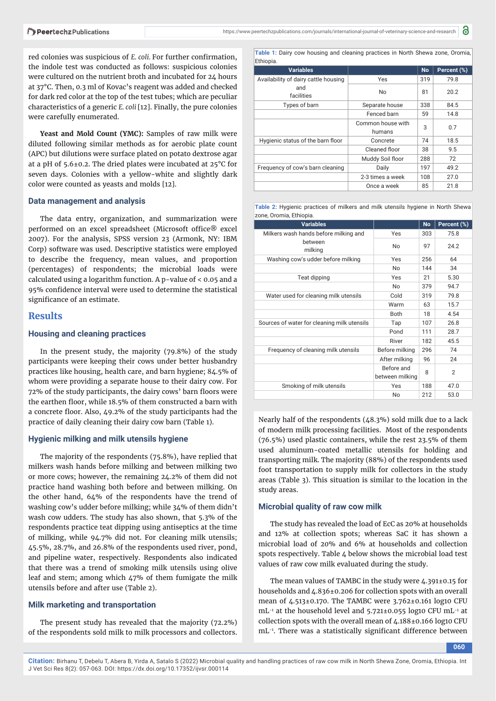red colonies was suspicious of *E. coli.* For further confirmation, the indole test was conducted as follows: suspicious colonies were cultured on the nutrient broth and incubated for 24 hours at 37°C. Then, 0.3 ml of Kovac's reagent was added and checked for dark red color at the top of the test tubes; which are peculiar characteristics of a generic *E. coli* [12]. Finally, the pure colonies were carefully enumerated.

Yeast and Mold Count (YMC): Samples of raw milk were diluted following similar methods as for aerobic plate count (APC) but dilutions were surface plated on potato dextrose agar at a pH of 5.6±0.2. The dried plates were incubated at 25°C for seven days. Colonies with a yellow-white and slightly dark color were counted as yeasts and molds [12].

#### **Data management and analysis**

The data entry, organization, and summarization were performed on an excel spreadsheet (Microsoft office® excel 2007). For the analysis, SPSS version 23 (Armonk, NY: IBM Corp) software was used. Descriptive statistics were employed to describe the frequency, mean values, and proportion (percentages) of respondents; the microbial loads were calculated using a logarithm function. A p-value of < 0.05 and a 95% confidence interval were used to determine the statistical significance of an estimate.

# **Results**

### **Housing and cleaning practices**

In the present study, the majority (79.8%) of the study participants were keeping their cows under better husbandry practices like housing, health care, and barn hygiene; 84.5% of whom were providing a separate house to their dairy cow. For 72% of the study participants, the dairy cows' barn floors were the earthen floor, while 18.5% of them constructed a barn with a concrete floor. Also, 49.2% of the study participants had the practice of daily cleaning their dairy cow barn (Table 1).

#### **Hygienic milking and milk utensils hygiene**

The majority of the respondents (75.8%), have replied that milkers wash hands before milking and between milking two or more cows; however, the remaining 24.2% of them did not practice hand washing both before and between milking. On the other hand, 64% of the respondents have the trend of washing cow's udder before milking; while 34% of them didn't wash cow udders. The study has also shown, that 5.3% of the respondents practice teat dipping using antiseptics at the time of milking, while 94.7% did not. For cleaning milk utensils; 45.5%, 28.7%, and 26.8% of the respondents used river, pond, and pipeline water, respectively. Respondents also indicated that there was a trend of smoking milk utensils using olive leaf and stem; among which 47% of them fumigate the milk utensils before and after use (Table 2).

#### **Milk marketing and transportation**

The present study has revealed that the majority (72.2%) of the respondents sold milk to milk processors and collectors.

**Table 1:** Dairy cow housing and cleaning practices in North Shewa zone, Oromia, **Ethiopia** 

| <b>Variables</b>                     |                             | <b>No</b> | Percent (%) |
|--------------------------------------|-----------------------------|-----------|-------------|
| Availability of dairy cattle housing | Yes                         | 319       | 79.8        |
| and<br>facilities                    | No                          | 81        | 20.2        |
| Types of barn                        | Separate house              | 338       | 84.5        |
|                                      | Fenced barn                 | 59        | 14.8        |
|                                      | Common house with<br>humans | 3         | 0.7         |
| Hygienic status of the barn floor    | Concrete                    | 74        | 18.5        |
|                                      | Cleaned floor               | 38        | 9.5         |
|                                      | Muddy Soil floor            | 288       | 72          |
| Frequency of cow's barn cleaning     | Daily                       | 197       | 49.2        |
|                                      | 2-3 times a week            | 108       | 27.0        |
|                                      | Once a week                 | 85        | 21.8        |

**Table 2:** Hygienic practices of milkers and milk utensils hygiene in North Shewa zone, Oromia, Ethiopia.

| <b>Variables</b>                            |                               | <b>No</b> | Percent (%)    |
|---------------------------------------------|-------------------------------|-----------|----------------|
| Milkers wash hands before milking and       | Yes                           | 303       | 75.8           |
| between<br>milking                          | No                            | 97        | 24.2           |
| Washing cow's udder before milking          | Yes                           | 256       | 64             |
|                                             | No                            | 144       | 34             |
| Teat dipping                                | Yes                           | 21        | 5.30           |
|                                             | No                            | 379       | 94.7           |
| Water used for cleaning milk utensils       | Cold                          | 319       | 79.8           |
|                                             | Warm                          | 63        | 15.7           |
|                                             | <b>Both</b>                   | 18        | 4.54           |
| Sources of water for cleaning milk utensils | Tap                           | 107       | 26.8           |
|                                             | Pond                          | 111       | 28.7           |
|                                             | River                         | 182       | 45.5           |
| Frequency of cleaning milk utensils         | Before milking                | 296       | 74             |
|                                             | After milking                 | 96        | 24             |
|                                             | Before and<br>between milking | 8         | $\overline{2}$ |
| Smoking of milk utensils                    | Yes                           | 188       | 47.0           |
|                                             | No                            | 212       | 53.0           |

Nearly half of the respondents (48.3%) sold milk due to a lack of modern milk processing facilities. Most of the respondents (76.5%) used plastic containers, while the rest 23.5% of them used aluminum-coated metallic utensils for holding and transporting milk. The majority (88%) of the respondents used foot transportation to supply milk for collectors in the study areas (Table 3). This situation is similar to the location in the study areas.

#### **Microbial quality of raw cow milk**

The study has revealed the load of EcC as 20% at households and 12% at collection spots; whereas SaC it has shown a microbial load of 20% and 6% at households and collection spots respectively. Table  $\Delta$  below shows the microbial load test values of raw cow milk evaluated during the study.

The mean values of TAMBC in the study were 4.391±0.15 for households and 4.836±0.206 for collection spots with an overall mean of 4.513±0.170. The TAMBC were 3.762±0.161 log10 CFU  $mL^{-1}$  at the household level and 5.721±0.055 log10 CFU  $mL^{-1}$  at collection spots with the overall mean of 4.188±0.166 log10 CFU mL<sup>-1</sup>. There was a statistically significant difference between

**060**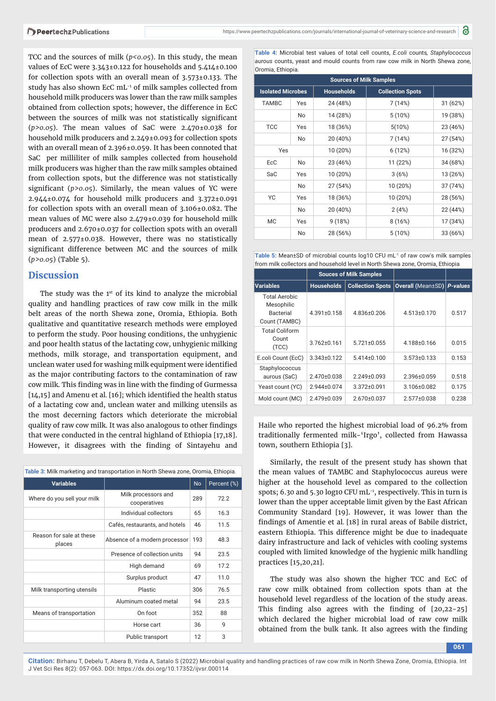TCC and the sources of milk ( $p$ <0.05). In this study, the mean values of EcC were 3.343±0.122 for households and 5.414±0.100 for collection spots with an overall mean of 3.573±0.133. The study has also shown EcC mL-1 of milk samples collected from household milk producers was lower than the raw milk samples obtained from collection spots; however, the difference in EcC between the sources of milk was not statistically significant (*p>0.05*). The mean values of SaC were 2.470±0.038 for household milk producers and 2.249±0.093 for collection spots with an overall mean of 2.396±0.059. It has been connoted that SaC per milliliter of milk samples collected from household milk producers was higher than the raw milk samples obtained from collection spots, but the difference was not statistically significant  $(p>0.05)$ . Similarly, the mean values of YC were 2.944±0.074 for household milk producers and 3.372±0.091 for collection spots with an overall mean of 3.106±0.082. The mean values of MC were also 2.479±0.039 for household milk producers and 2.670±0.037 for collection spots with an overall mean of 2.577±0.038. However, there was no statistically significant difference between MC and the sources of milk (*p>0.05*) (Table 5).

# **Discussion**

The study was the 1<sup>st</sup> of its kind to analyze the microbial quality and handling practices of raw cow milk in the milk belt areas of the north Shewa zone, Oromia, Ethiopia. Both qualitative and quantitative research methods were employed to perform the study. Poor housing conditions, the unhygienic and poor health status of the lactating cow, unhygienic milking methods, milk storage, and transportation equipment, and unclean water used for washing milk equipment were identified as the major contributing factors to the contamination of raw cow milk. This finding was in line with the finding of Gurmessa [14,15] and Amenu et al. [16]; which identified the health status of a lactating cow and, unclean water and milking utensils as the most decerning factors which deteriorate the microbial quality of raw cow milk. It was also analogous to other findings that were conducted in the central highland of Ethiopia [17,18]. However, it disagrees with the finding of Sintayehu and

| Table 3: Milk marketing and transportation in North Shewa zone, Oromia, Ethiopia. |                                     |           |             |  |
|-----------------------------------------------------------------------------------|-------------------------------------|-----------|-------------|--|
| <b>Variables</b>                                                                  |                                     | <b>No</b> | Percent (%) |  |
| Where do you sell your milk                                                       | Milk processors and<br>cooperatives | 289       | 72.2        |  |
|                                                                                   | Individual collectors               | 65        | 16.3        |  |
|                                                                                   | Cafés, restaurants, and hotels      | 46        | 11.5        |  |
| Reason for sale at these<br>places                                                | Absence of a modern processor       | 193       | 48.3        |  |
|                                                                                   | Presence of collection units        | 94        | 23.5        |  |
|                                                                                   | High demand                         | 69        | 17.2        |  |
|                                                                                   | Surplus product                     | 47        | 11.0        |  |
| Milk transporting utensils                                                        | Plastic                             | 306       | 76.5        |  |
|                                                                                   | Aluminum coated metal               | 94        | 23.5        |  |
| Means of transportation                                                           | On foot                             | 352       | 88          |  |
|                                                                                   | Horse cart                          | 36        | q           |  |
|                                                                                   | Public transport                    | 12        | 3           |  |

**Table 4:** Microbial test values of total cell counts, *E.coli* counts*, Staphylococcus aurous* counts, yeast and mould counts from raw cow milk in North Shewa zone, Oromia, Ethiopia.

| <b>Sources of Milk Samples</b> |     |                   |                         |          |
|--------------------------------|-----|-------------------|-------------------------|----------|
| <b>Isolated Microbes</b>       |     | <b>Households</b> | <b>Collection Spots</b> |          |
| <b>TAMBC</b>                   | Yes | 24 (48%)          | 7(14%)                  | 31 (62%) |
|                                | No. | 14 (28%)          | 5(10%)                  | 19 (38%) |
| <b>TCC</b>                     | Yes | 18 (36%)          | 5(10%)                  | 23 (46%) |
|                                | No. | 20 (40%)          | 7(14%)                  | 27 (54%) |
| Yes                            |     | 10 (20%)          | 6(12%)                  | 16 (32%) |
| EcC                            | No. | 23 (46%)          | 11 (22%)                | 34 (68%) |
| SaC                            | Yes | 10 (20%)          | 3(6%)                   | 13 (26%) |
|                                | No. | 27 (54%)          | 10 (20%)                | 37 (74%) |
| YC                             | Yes | 18 (36%)          | 10 (20%)                | 28 (56%) |
|                                | No. | 20 (40%)          | 2(4%)                   | 22 (44%) |
| <b>MC</b>                      | Yes | 9(18%)            | 8(16%)                  | 17 (34%) |
|                                | No. | 28 (56%)          | $5(10\%)$               | 33 (66%) |

Table 5: Mean±SD of microbial counts log10 CFU mL<sup>-1</sup> of raw cow's milk samples from milk collectors and household level in North Shewa zone, Oromia, Ethiopia

|                                                                  | <b>Souces of Milk Samples</b> |                         |                          |                 |
|------------------------------------------------------------------|-------------------------------|-------------------------|--------------------------|-----------------|
| Variables                                                        | <b>Households</b>             | <b>Collection Spots</b> | <b>Overall (Mean±SD)</b> | <b>P-values</b> |
| <b>Total Aerobic</b><br>Mesophilic<br>Bacterial<br>Count (TAMBC) | $4.391 \pm 0.158$             | $4.836\pm0.206$         | $4.513 \pm 0.170$        | 0.517           |
| <b>Total Coliform</b><br>Count<br>(TCC)                          | $3.762 \pm 0.161$             | $5.721 \pm 0.055$       | 4.188±0.166              | 0.015           |
| E.coli Count (EcC)                                               | 3.343±0.122                   | $5.414 \pm 0.100$       | $3.573 \pm 0.133$        | 0.153           |
| Staphylococcus<br>aurous (SaC)                                   | $2.470\pm0.038$               | $2.249 \pm 0.093$       | 2.396±0.059              | 0.518           |
| Yeast count (YC)                                                 | $2.944 \pm 0.074$             | 3.372±0.091             | $3.106 \pm 0.082$        | 0.175           |
| Mold count (MC)                                                  | $2.479 \pm 0.039$             | $2.670\pm0.037$         | $2.577 \pm 0.038$        | 0.238           |

Haile who reported the highest microbial load of 96.2% from traditionally fermented milk-'Irgo', collected from Hawassa town, southern Ethiopia [3].

Similarly, the result of the present study has shown that the mean values of TAMBC and Staphylococcus aureus were higher at the household level as compared to the collection spots; 6.30 and 5.30 log10 CFU mL<sup>-1</sup>, respectively. This in turn is lower than the upper acceptable limit given by the East African Community Standard [19]. However, it was lower than the findings of Amentie et al. [18] in rural areas of Babile district, eastern Ethiopia. This difference might be due to inadequate dairy infrastructure and lack of vehicles with cooling systems coupled with limited knowledge of the hygienic milk handling practices [15,20,21].

The study was also shown the higher TCC and EcC of raw cow milk obtained from collection spots than at the household level regardless of the location of the study areas. This finding also agrees with the finding of  $[20,22-25]$ which declared the higher microbial load of raw cow milk obtained from the bulk tank. It also agrees with the finding

**061**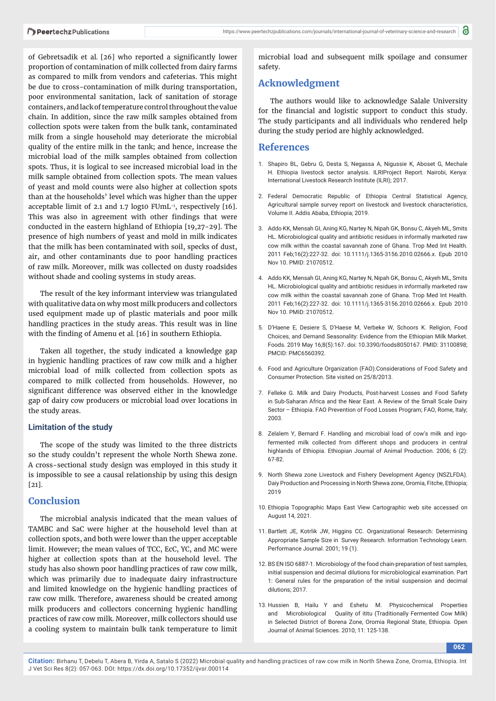of Gebretsadik et al. [26] who reported a significantly lower proportion of contamination of milk collected from dairy farms as compared to milk from vendors and cafeterias. This might be due to cross-contamination of milk during transportation, poor environmental sanitation, lack of sanitation of storage containers, and lack of temperature control throughout the value chain. In addition, since the raw milk samples obtained from collection spots were taken from the bulk tank, contaminated milk from a single household may deteriorate the microbial quality of the entire milk in the tank; and hence, increase the microbial load of the milk samples obtained from collection spots. Thus, it is logical to see increased microbial load in the milk sample obtained from collection spots. The mean values of yeast and mold counts were also higher at collection spots than at the households' level which was higher than the upper acceptable limit of 2.1 and 1.7 log10  $FUmL^{-1}$ , respectively [16]. This was also in agreement with other findings that were conducted in the eastern highland of Ethiopia [19,27-29]. The presence of high numbers of yeast and mold in milk indicates that the milk has been contaminated with soil, specks of dust, air, and other contaminants due to poor handling practices of raw milk. Moreover, milk was collected on dusty roadsides without shade and cooling systems in study areas.

The result of the key informant interview was triangulated with qualitative data on why most milk producers and collectors used equipment made up of plastic materials and poor milk handling practices in the study areas. This result was in line with the finding of Amenu et al. [16] in southern Ethiopia.

Taken all together, the study indicated a knowledge gap in hygienic handling practices of raw cow milk and a higher microbial load of milk collected from collection spots as compared to milk collected from households. However, no significant difference was observed either in the knowledge gap of dairy cow producers or microbial load over locations in the study areas.

#### **Limitation of the study**

The scope of the study was limited to the three districts so the study couldn't represent the whole North Shewa zone. A cross-sectional study design was employed in this study it is impossible to see a causal relationship by using this design [21].

# **Conclusion**

The microbial analysis indicated that the mean values of TAMBC and SaC were higher at the household level than at collection spots, and both were lower than the upper acceptable limit. However; the mean values of TCC, EcC, YC, and MC were higher at collection spots than at the household level. The study has also shown poor handling practices of raw cow milk, which was primarily due to inadequate dairy infrastructure and limited knowledge on the hygienic handling practices of raw cow milk. Therefore, awareness should be created among milk producers and collectors concerning hygienic handling practices of raw cow milk. Moreover, milk collectors should use a cooling system to maintain bulk tank temperature to limit

microbial load and subsequent milk spoilage and consumer safety.

# **Acknowledgment**

The authors would like to acknowledge Salale University for the financial and logistic support to conduct this study. The study participants and all individuals who rendered help during the study period are highly acknowledged.

# **References**

- 1. Shapiro BL, Gebru G, Desta S, Negassa A, Nigussie K, Aboset G, Mechale H. Ethiopia livestock sector analysis. ILRIProject Report. Nairobi, Kenya: International Livestock Research Institute (ILRI); 2017.
- 2. Federal Democratic Republic of Ethiopia Central Statistical Agency, Agricultural sample survey report on livestock and livestock characteristics, Volume II. Addis Ababa, Ethiopia; 2019.
- 3. Addo KK, Mensah GI, Aning KG, Nartey N, Nipah GK, Bonsu C, Akyeh ML, Smits HL. Microbiological quality and antibiotic residues in informally marketed raw cow milk within the coastal savannah zone of Ghana. Trop Med Int Health. 2011 Feb;16(2):227-32. doi: 10.1111/j.1365-3156.2010.02666.x. Epub 2010 Nov 10. PMID: 21070512.
- 4. Addo KK, Mensah GI, Aning KG, Nartey N, Nipah GK, Bonsu C, Akyeh ML, Smits HL. Microbiological quality and antibiotic residues in informally marketed raw cow milk within the coastal savannah zone of Ghana. Trop Med Int Health. 2011 Feb;16(2):227-32. doi: 10.1111/j.1365-3156.2010.02666.x. Epub 2010 Nov 10. PMID: 21070512.
- 5. D'Haene E, Desiere S, D'Haese M, Verbeke W, Schoors K. Religion, Food Choices, and Demand Seasonality: Evidence from the Ethiopian Milk Market. Foods. 2019 May 16;8(5):167. doi: 10.3390/foods8050167. PMID: 31100898; PMCID: PMC6560392.
- 6. Food and Agriculture Organization (FAO).Considerations of Food Safety and Consumer Protection. Site visited on 25/8/2013.
- 7. Felleke G. Milk and Dairy Products, Post-harvest Losses and Food Safety in Sub-Saharan Africa and the Near East. A Review of the Small Scale Dairy Sector – Ethiopia. FAO Prevention of Food Losses Program; FAO, Rome, Italy; 2003.
- 8. Zelalem Y, Bernard F. Handling and microbial load of cow's milk and irgofermented milk collected from different shops and producers in central highlands of Ethiopia. Ethiopian Journal of Animal Production. 2006; 6 (2): 67-82.
- 9. North Shewa zone Livestock and Fishery Development Agency (NSZLFDA). Daiy Production and Processing in North Shewa zone, Oromia, Fitche, Ethiopia; 2019
- 10. Ethiopia Topographic Maps East View Cartographic web site accessed on August 14, 2021.
- 11. Bartlett JE, Kotrlik JW, Higgins CC. Organizational Research: Determining Appropriate Sample Size in Survey Research. Information Technology Learn. Performance Journal. 2001; 19 (1).
- 12. BS EN ISO 6887-1. Microbiology of the food chain-preparation of test samples, initial suspension and decimal dilutions for microbiological examination. Part 1: General rules for the preparation of the initial suspension and decimal dilutions; 2017.
- 13. Hussien B, Hailu Y and Eshetu M. Physicochemical Properties and Microbiological Quality of ititu (Traditionally Fermented Cow Milk) in Selected District of Borena Zone, Oromia Regional State, Ethiopia. Open Journal of Animal Sciences. 2010; 11: 125-138.

**062**